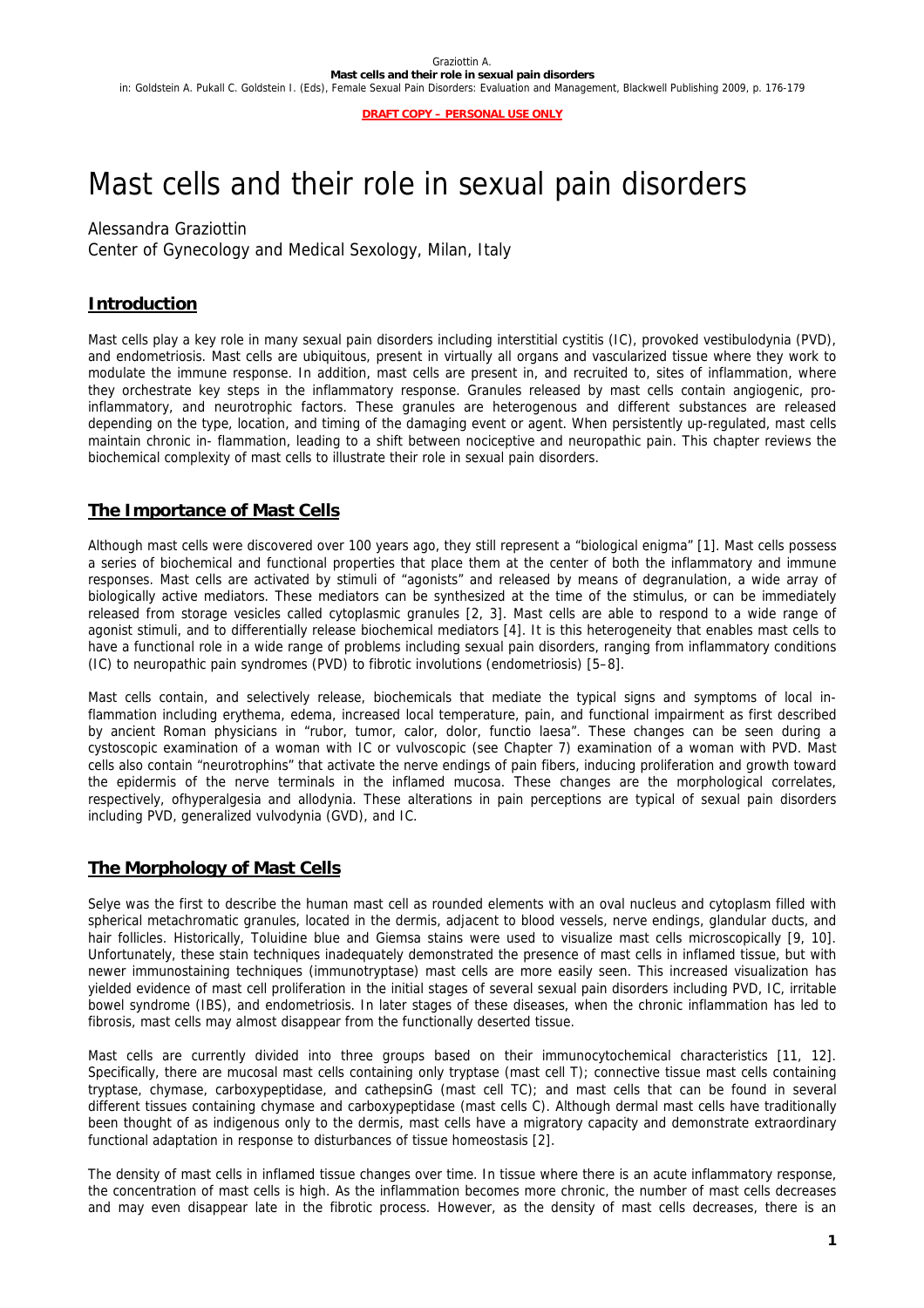**DRAFT COPY – PERSONAL USE ONLY**

# Mast cells and their role in sexual pain disorders

Alessandra Graziottin

Center of Gynecology and Medical Sexology, Milan, Italy

# **Introduction**

Mast cells play a key role in many sexual pain disorders including interstitial cystitis (IC), provoked vestibulodynia (PVD), and endometriosis. Mast cells are ubiquitous, present in virtually all organs and vascularized tissue where they work to modulate the immune response. In addition, mast cells are present in, and recruited to, sites of inflammation, where they orchestrate key steps in the inflammatory response. Granules released by mast cells contain angiogenic, proinflammatory, and neurotrophic factors. These granules are heterogenous and different substances are released depending on the type, location, and timing of the damaging event or agent. When persistently up-regulated, mast cells maintain chronic in- flammation, leading to a shift between nociceptive and neuropathic pain. This chapter reviews the biochemical complexity of mast cells to illustrate their role in sexual pain disorders.

## **The Importance of Mast Cells**

Although mast cells were discovered over 100 years ago, they still represent a "biological enigma" [1]. Mast cells possess a series of biochemical and functional properties that place them at the center of both the inflammatory and immune responses. Mast cells are activated by stimuli of "agonists" and released by means of degranulation, a wide array of biologically active mediators. These mediators can be synthesized at the time of the stimulus, or can be immediately released from storage vesicles called cytoplasmic granules [2, 3]. Mast cells are able to respond to a wide range of agonist stimuli, and to differentially release biochemical mediators [4]. It is this heterogeneity that enables mast cells to have a functional role in a wide range of problems including sexual pain disorders, ranging from inflammatory conditions (IC) to neuropathic pain syndromes (PVD) to fibrotic involutions (endometriosis) [5–8].

Mast cells contain, and selectively release, biochemicals that mediate the typical signs and symptoms of local inflammation including erythema, edema, increased local temperature, pain, and functional impairment as first described by ancient Roman physicians in "rubor, tumor, calor, dolor, functio laesa". These changes can be seen during a cystoscopic examination of a woman with IC or vulvoscopic (see Chapter 7) examination of a woman with PVD. Mast cells also contain "neurotrophins" that activate the nerve endings of pain fibers, inducing proliferation and growth toward the epidermis of the nerve terminals in the inflamed mucosa. These changes are the morphological correlates, respectively, ofhyperalgesia and allodynia. These alterations in pain perceptions are typical of sexual pain disorders including PVD, generalized vulvodynia (GVD), and IC.

# **The Morphology of Mast Cells**

Selye was the first to describe the human mast cell as rounded elements with an oval nucleus and cytoplasm filled with spherical metachromatic granules, located in the dermis, adjacent to blood vessels, nerve endings, glandular ducts, and hair follicles. Historically, Toluidine blue and Giemsa stains were used to visualize mast cells microscopically [9, 10]. Unfortunately, these stain techniques inadequately demonstrated the presence of mast cells in inflamed tissue, but with newer immunostaining techniques (immunotryptase) mast cells are more easily seen. This increased visualization has yielded evidence of mast cell proliferation in the initial stages of several sexual pain disorders including PVD, IC, irritable bowel syndrome (IBS), and endometriosis. In later stages of these diseases, when the chronic inflammation has led to fibrosis, mast cells may almost disappear from the functionally deserted tissue.

Mast cells are currently divided into three groups based on their immunocytochemical characteristics [11, 12]. Specifically, there are mucosal mast cells containing only tryptase (mast cell T); connective tissue mast cells containing tryptase, chymase, carboxypeptidase, and cathepsinG (mast cell TC); and mast cells that can be found in several different tissues containing chymase and carboxypeptidase (mast cells C). Although dermal mast cells have traditionally been thought of as indigenous only to the dermis, mast cells have a migratory capacity and demonstrate extraordinary functional adaptation in response to disturbances of tissue homeostasis [2].

The density of mast cells in inflamed tissue changes over time. In tissue where there is an acute inflammatory response, the concentration of mast cells is high. As the inflammation becomes more chronic, the number of mast cells decreases and may even disappear late in the fibrotic process. However, as the density of mast cells decreases, there is an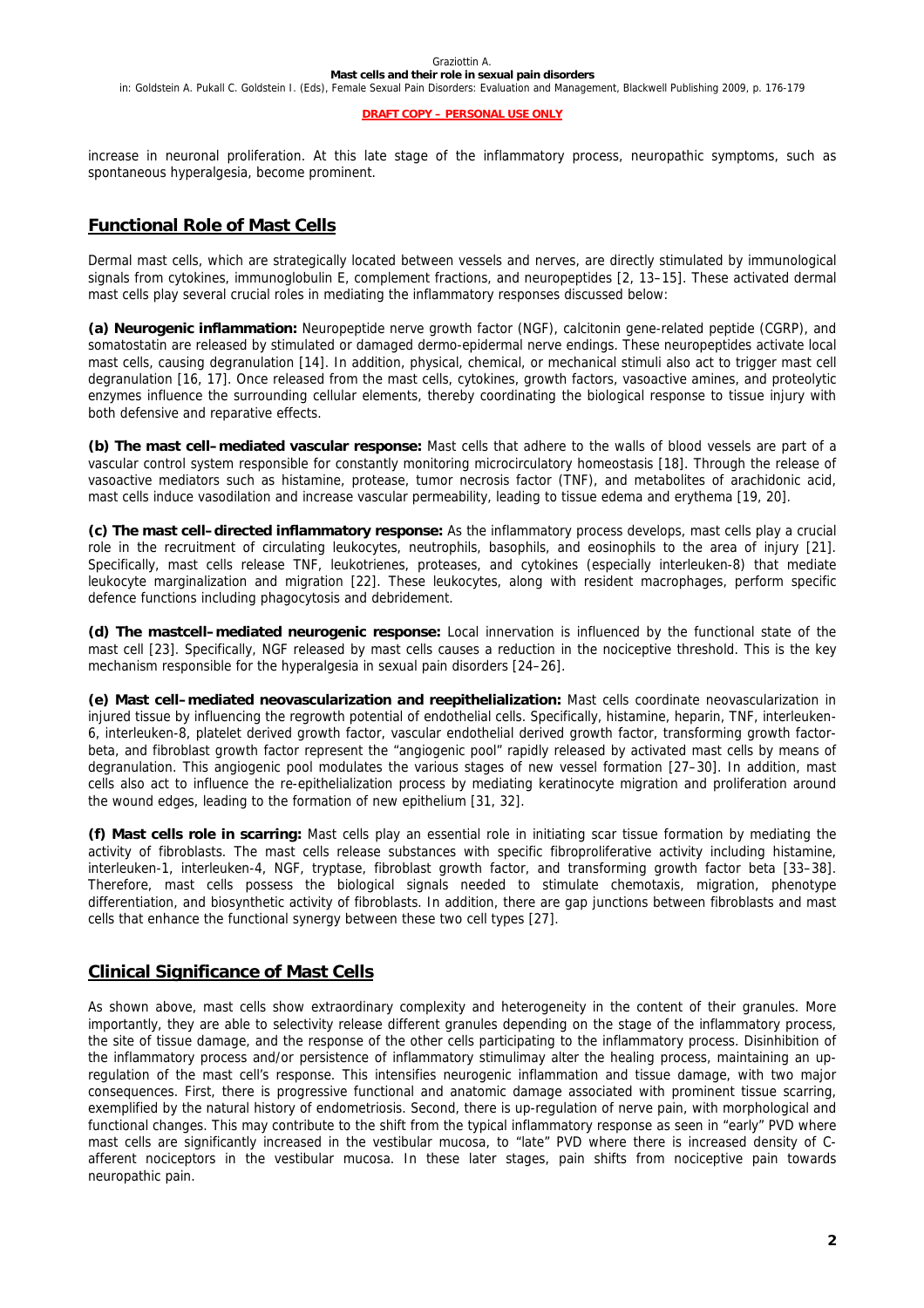#### Graziottin A. **Mast cells and their role in sexual pain disorders**

in: Goldstein A. Pukall C. Goldstein I. (Eds), Female Sexual Pain Disorders: Evaluation and Management, Blackwell Publishing 2009, p. 176-179

#### **DRAFT COPY – PERSONAL USE ONLY**

increase in neuronal proliferation. At this late stage of the inflammatory process, neuropathic symptoms, such as spontaneous hyperalgesia, become prominent.

## **Functional Role of Mast Cells**

Dermal mast cells, which are strategically located between vessels and nerves, are directly stimulated by immunological signals from cytokines, immunoglobulin E, complement fractions, and neuropeptides [2, 13–15]. These activated dermal mast cells play several crucial roles in mediating the inflammatory responses discussed below:

**(a) Neurogenic inflammation:** Neuropeptide nerve growth factor (NGF), calcitonin gene-related peptide (CGRP), and somatostatin are released by stimulated or damaged dermo-epidermal nerve endings. These neuropeptides activate local mast cells, causing degranulation [14]. In addition, physical, chemical, or mechanical stimuli also act to trigger mast cell degranulation [16, 17]. Once released from the mast cells, cytokines, growth factors, vasoactive amines, and proteolytic enzymes influence the surrounding cellular elements, thereby coordinating the biological response to tissue injury with both defensive and reparative effects.

**(b) The mast cell–mediated vascular response:** Mast cells that adhere to the walls of blood vessels are part of a vascular control system responsible for constantly monitoring microcirculatory homeostasis [18]. Through the release of vasoactive mediators such as histamine, protease, tumor necrosis factor (TNF), and metabolites of arachidonic acid, mast cells induce vasodilation and increase vascular permeability, leading to tissue edema and erythema [19, 20].

**(c) The mast cell–directed inflammatory response:** As the inflammatory process develops, mast cells play a crucial role in the recruitment of circulating leukocytes, neutrophils, basophils, and eosinophils to the area of injury [21]. Specifically, mast cells release TNF, leukotrienes, proteases, and cytokines (especially interleuken-8) that mediate leukocyte marginalization and migration [22]. These leukocytes, along with resident macrophages, perform specific defence functions including phagocytosis and debridement.

**(d) The mastcell–mediated neurogenic response:** Local innervation is influenced by the functional state of the mast cell [23]. Specifically, NGF released by mast cells causes a reduction in the nociceptive threshold. This is the key mechanism responsible for the hyperalgesia in sexual pain disorders [24–26].

**(e) Mast cell–mediated neovascularization and reepithelialization:** Mast cells coordinate neovascularization in injured tissue by influencing the regrowth potential of endothelial cells. Specifically, histamine, heparin, TNF, interleuken-6, interleuken-8, platelet derived growth factor, vascular endothelial derived growth factor, transforming growth factorbeta, and fibroblast growth factor represent the "angiogenic pool" rapidly released by activated mast cells by means of degranulation. This angiogenic pool modulates the various stages of new vessel formation [27–30]. In addition, mast cells also act to influence the re-epithelialization process by mediating keratinocyte migration and proliferation around the wound edges, leading to the formation of new epithelium [31, 32].

**(f) Mast cells role in scarring:** Mast cells play an essential role in initiating scar tissue formation by mediating the activity of fibroblasts. The mast cells release substances with specific fibroproliferative activity including histamine, interleuken-1, interleuken-4, NGF, tryptase, fibroblast growth factor, and transforming growth factor beta [33–38]. Therefore, mast cells possess the biological signals needed to stimulate chemotaxis, migration, phenotype differentiation, and biosynthetic activity of fibroblasts. In addition, there are gap junctions between fibroblasts and mast cells that enhance the functional synergy between these two cell types [27].

## **Clinical Significance of Mast Cells**

As shown above, mast cells show extraordinary complexity and heterogeneity in the content of their granules. More importantly, they are able to selectivity release different granules depending on the stage of the inflammatory process, the site of tissue damage, and the response of the other cells participating to the inflammatory process. Disinhibition of the inflammatory process and/or persistence of inflammatory stimulimay alter the healing process, maintaining an upregulation of the mast cell's response. This intensifies neurogenic inflammation and tissue damage, with two major consequences. First, there is progressive functional and anatomic damage associated with prominent tissue scarring, exemplified by the natural history of endometriosis. Second, there is up-regulation of nerve pain, with morphological and functional changes. This may contribute to the shift from the typical inflammatory response as seen in "early" PVD where mast cells are significantly increased in the vestibular mucosa, to "late" PVD where there is increased density of Cafferent nociceptors in the vestibular mucosa. In these later stages, pain shifts from nociceptive pain towards neuropathic pain.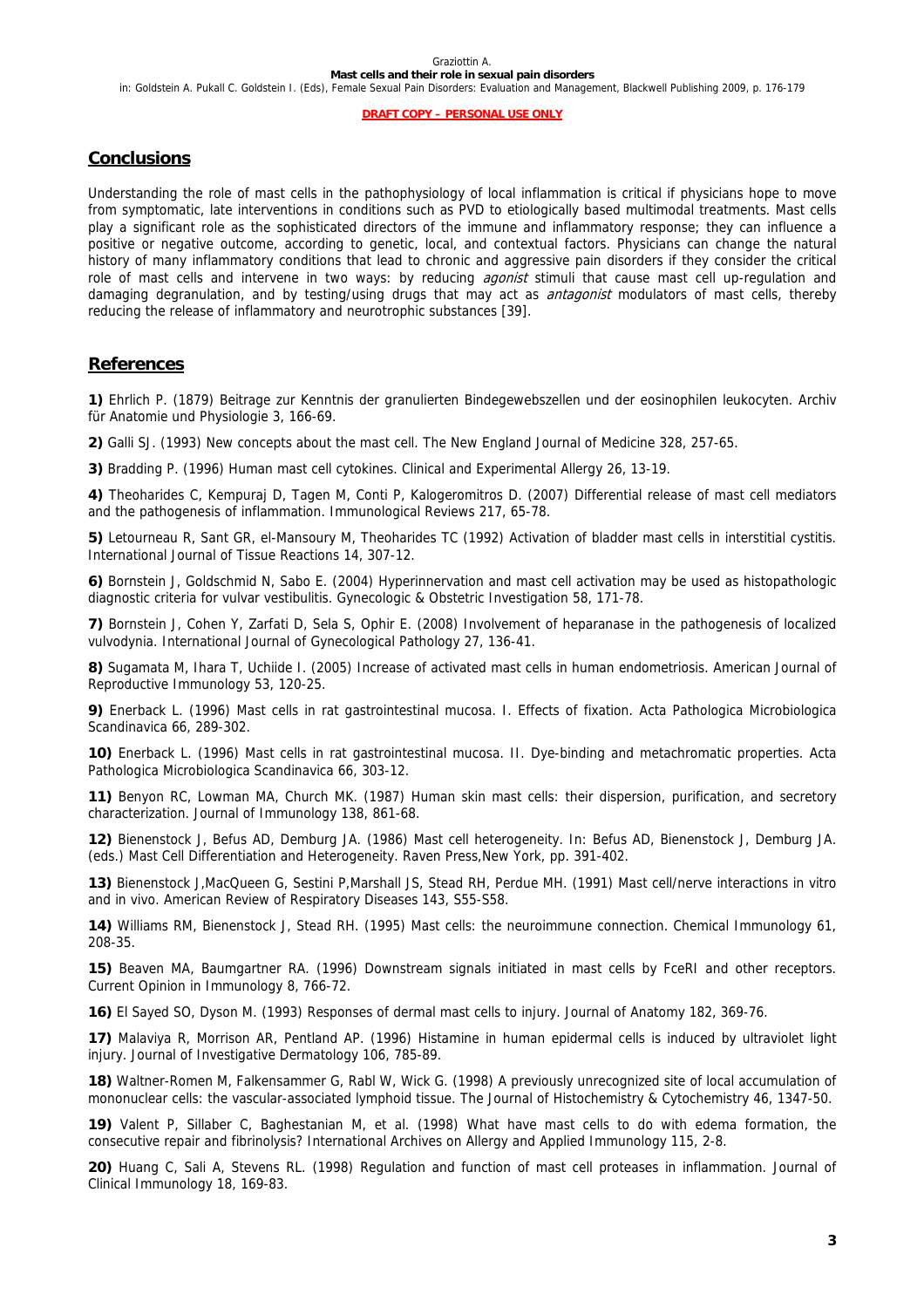in: Goldstein A. Pukall C. Goldstein I. (Eds), Female Sexual Pain Disorders: Evaluation and Management, Blackwell Publishing 2009, p. 176-179

#### **DRAFT COPY – PERSONAL USE ONLY**

#### **Conclusions**

Understanding the role of mast cells in the pathophysiology of local inflammation is critical if physicians hope to move from symptomatic, late interventions in conditions such as PVD to etiologically based multimodal treatments. Mast cells play a significant role as the sophisticated directors of the immune and inflammatory response; they can influence a positive or negative outcome, according to genetic, local, and contextual factors. Physicians can change the natural history of many inflammatory conditions that lead to chronic and aggressive pain disorders if they consider the critical role of mast cells and intervene in two ways: by reducing *agonist* stimuli that cause mast cell up-regulation and damaging degranulation, and by testing/using drugs that may act as *antagonist* modulators of mast cells, thereby reducing the release of inflammatory and neurotrophic substances [39].

#### **References**

**1)** Ehrlich P. (1879) Beitrage zur Kenntnis der granulierten Bindegewebszellen und der eosinophilen leukocyten. Archiv für Anatomie und Physiologie 3, 166-69.

**2)** Galli SJ. (1993) New concepts about the mast cell. The New England Journal of Medicine 328, 257-65.

**3)** Bradding P. (1996) Human mast cell cytokines. Clinical and Experimental Allergy 26, 13-19.

**4)** Theoharides C, Kempuraj D, Tagen M, Conti P, Kalogeromitros D. (2007) Differential release of mast cell mediators and the pathogenesis of inflammation. Immunological Reviews 217, 65-78.

**5)** Letourneau R, Sant GR, el-Mansoury M, Theoharides TC (1992) Activation of bladder mast cells in interstitial cystitis. International Journal of Tissue Reactions 14, 307-12.

**6)** Bornstein J, Goldschmid N, Sabo E. (2004) Hyperinnervation and mast cell activation may be used as histopathologic diagnostic criteria for vulvar vestibulitis. Gynecologic & Obstetric Investigation 58, 171-78.

**7)** Bornstein J, Cohen Y, Zarfati D, Sela S, Ophir E. (2008) Involvement of heparanase in the pathogenesis of localized vulvodynia. International Journal of Gynecological Pathology 27, 136-41.

**8)** Sugamata M, Ihara T, Uchiide I. (2005) Increase of activated mast cells in human endometriosis. American Journal of Reproductive Immunology 53, 120-25.

**9)** Enerback L. (1996) Mast cells in rat gastrointestinal mucosa. I. Effects of fixation. Acta Pathologica Microbiologica Scandinavica 66, 289-302.

**10)** Enerback L. (1996) Mast cells in rat gastrointestinal mucosa. II. Dye-binding and metachromatic properties. Acta Pathologica Microbiologica Scandinavica 66, 303-12.

**11)** Benyon RC, Lowman MA, Church MK. (1987) Human skin mast cells: their dispersion, purification, and secretory characterization. Journal of Immunology 138, 861-68.

**12)** Bienenstock J, Befus AD, Demburg JA. (1986) Mast cell heterogeneity. In: Befus AD, Bienenstock J, Demburg JA. (eds.) Mast Cell Differentiation and Heterogeneity. Raven Press,New York, pp. 391-402.

**13)** Bienenstock J,MacQueen G, Sestini P,Marshall JS, Stead RH, Perdue MH. (1991) Mast cell/nerve interactions in vitro and in vivo. American Review of Respiratory Diseases 143, S55-S58.

**14)** Williams RM, Bienenstock J, Stead RH. (1995) Mast cells: the neuroimmune connection. Chemical Immunology 61, 208-35.

**15)** Beaven MA, Baumgartner RA. (1996) Downstream signals initiated in mast cells by FceRI and other receptors. Current Opinion in Immunology 8, 766-72.

**16)** El Sayed SO, Dyson M. (1993) Responses of dermal mast cells to injury. Journal of Anatomy 182, 369-76.

**17)** Malaviya R, Morrison AR, Pentland AP. (1996) Histamine in human epidermal cells is induced by ultraviolet light injury. Journal of Investigative Dermatology 106, 785-89.

**18)** Waltner-Romen M, Falkensammer G, Rabl W, Wick G. (1998) A previously unrecognized site of local accumulation of mononuclear cells: the vascular-associated lymphoid tissue. The Journal of Histochemistry & Cytochemistry 46, 1347-50.

**19)** Valent P, Sillaber C, Baghestanian M, et al. (1998) What have mast cells to do with edema formation, the consecutive repair and fibrinolysis? International Archives on Allergy and Applied Immunology 115, 2-8.

**20)** Huang C, Sali A, Stevens RL. (1998) Regulation and function of mast cell proteases in inflammation. Journal of Clinical Immunology 18, 169-83.